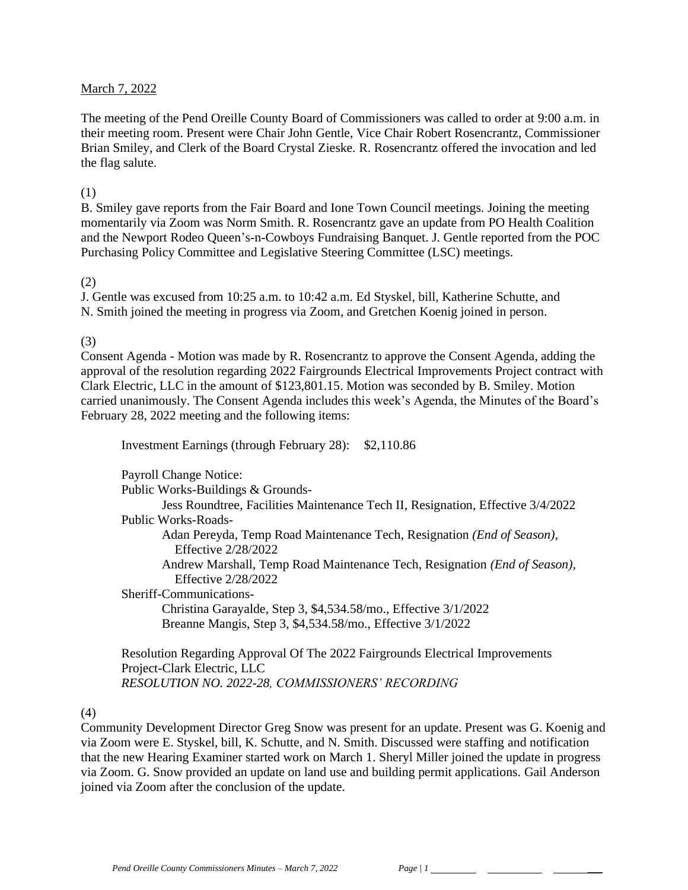### March 7, 2022

The meeting of the Pend Oreille County Board of Commissioners was called to order at 9:00 a.m. in their meeting room. Present were Chair John Gentle, Vice Chair Robert Rosencrantz, Commissioner Brian Smiley, and Clerk of the Board Crystal Zieske. R. Rosencrantz offered the invocation and led the flag salute.

#### (1)

B. Smiley gave reports from the Fair Board and Ione Town Council meetings. Joining the meeting momentarily via Zoom was Norm Smith. R. Rosencrantz gave an update from PO Health Coalition and the Newport Rodeo Queen's-n-Cowboys Fundraising Banquet. J. Gentle reported from the POC Purchasing Policy Committee and Legislative Steering Committee (LSC) meetings.

### (2)

J. Gentle was excused from 10:25 a.m. to 10:42 a.m. Ed Styskel, bill, Katherine Schutte, and N. Smith joined the meeting in progress via Zoom, and Gretchen Koenig joined in person.

### (3)

Consent Agenda - Motion was made by R. Rosencrantz to approve the Consent Agenda, adding the approval of the resolution regarding 2022 Fairgrounds Electrical Improvements Project contract with Clark Electric, LLC in the amount of \$123,801.15. Motion was seconded by B. Smiley. Motion carried unanimously. The Consent Agenda includes this week's Agenda, the Minutes of the Board's February 28, 2022 meeting and the following items:

Investment Earnings (through February 28): \$2,110.86

Payroll Change Notice:

Public Works-Buildings & Grounds-

Jess Roundtree, Facilities Maintenance Tech II, Resignation, Effective 3/4/2022 Public Works-Roads-

Adan Pereyda, Temp Road Maintenance Tech, Resignation *(End of Season),* Effective 2/28/2022

Andrew Marshall, Temp Road Maintenance Tech, Resignation *(End of Season),* Effective 2/28/2022

Sheriff-Communications-Christina Garayalde, Step 3, \$4,534.58/mo., Effective 3/1/2022

Breanne Mangis, Step 3, \$4,534.58/mo., Effective 3/1/2022

Resolution Regarding Approval Of The 2022 Fairgrounds Electrical Improvements Project-Clark Electric, LLC *RESOLUTION NO. 2022-28, COMMISSIONERS' RECORDING* 

#### (4)

Community Development Director Greg Snow was present for an update. Present was G. Koenig and via Zoom were E. Styskel, bill, K. Schutte, and N. Smith. Discussed were staffing and notification that the new Hearing Examiner started work on March 1. Sheryl Miller joined the update in progress via Zoom. G. Snow provided an update on land use and building permit applications. Gail Anderson joined via Zoom after the conclusion of the update.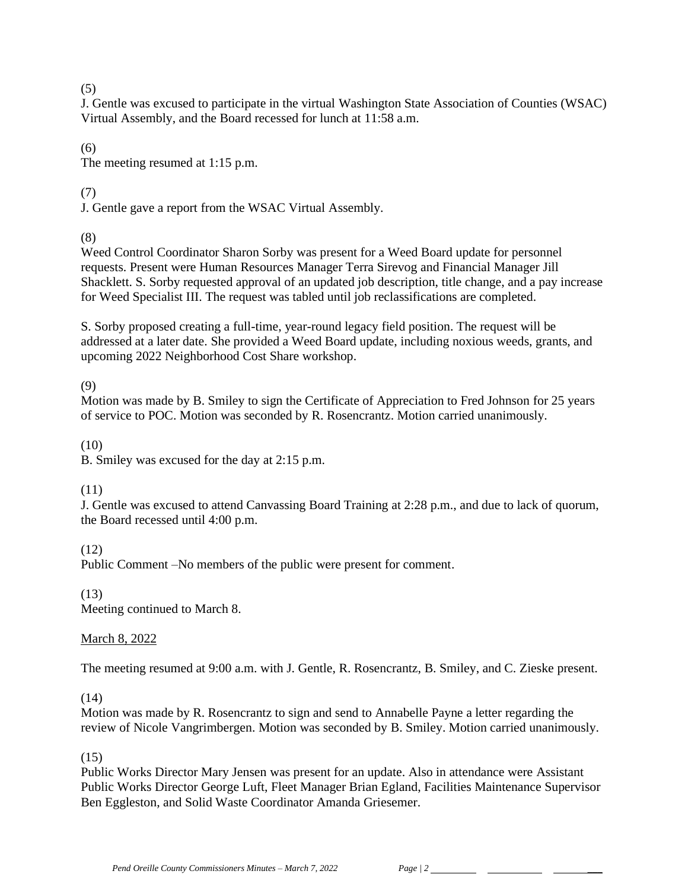## (5)

J. Gentle was excused to participate in the virtual Washington State Association of Counties (WSAC) Virtual Assembly, and the Board recessed for lunch at 11:58 a.m.

(6) The meeting resumed at 1:15 p.m.

# (7)

J. Gentle gave a report from the WSAC Virtual Assembly.

(8)

Weed Control Coordinator Sharon Sorby was present for a Weed Board update for personnel requests. Present were Human Resources Manager Terra Sirevog and Financial Manager Jill Shacklett. S. Sorby requested approval of an updated job description, title change, and a pay increase for Weed Specialist III. The request was tabled until job reclassifications are completed.

S. Sorby proposed creating a full-time, year-round legacy field position. The request will be addressed at a later date. She provided a Weed Board update, including noxious weeds, grants, and upcoming 2022 Neighborhood Cost Share workshop.

(9)

Motion was made by B. Smiley to sign the Certificate of Appreciation to Fred Johnson for 25 years of service to POC. Motion was seconded by R. Rosencrantz. Motion carried unanimously.

(10)

B. Smiley was excused for the day at 2:15 p.m.

## (11)

J. Gentle was excused to attend Canvassing Board Training at 2:28 p.m., and due to lack of quorum, the Board recessed until 4:00 p.m.

(12)

Public Comment –No members of the public were present for comment.

(13) Meeting continued to March 8.

## March 8, 2022

The meeting resumed at 9:00 a.m. with J. Gentle, R. Rosencrantz, B. Smiley, and C. Zieske present.

## $(14)$

Motion was made by R. Rosencrantz to sign and send to Annabelle Payne a letter regarding the review of Nicole Vangrimbergen. Motion was seconded by B. Smiley. Motion carried unanimously.

(15)

Public Works Director Mary Jensen was present for an update. Also in attendance were Assistant Public Works Director George Luft, Fleet Manager Brian Egland, Facilities Maintenance Supervisor Ben Eggleston, and Solid Waste Coordinator Amanda Griesemer.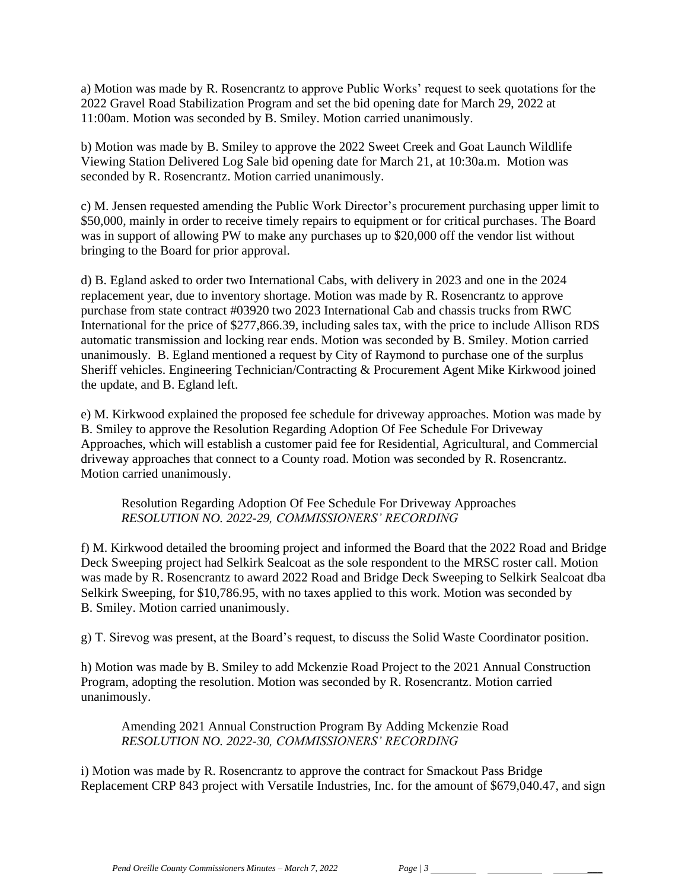a) Motion was made by R. Rosencrantz to approve Public Works' request to seek quotations for the 2022 Gravel Road Stabilization Program and set the bid opening date for March 29, 2022 at 11:00am. Motion was seconded by B. Smiley. Motion carried unanimously.

b) Motion was made by B. Smiley to approve the 2022 Sweet Creek and Goat Launch Wildlife Viewing Station Delivered Log Sale bid opening date for March 21, at 10:30a.m. Motion was seconded by R. Rosencrantz. Motion carried unanimously.

c) M. Jensen requested amending the Public Work Director's procurement purchasing upper limit to \$50,000, mainly in order to receive timely repairs to equipment or for critical purchases. The Board was in support of allowing PW to make any purchases up to \$20,000 off the vendor list without bringing to the Board for prior approval.

d) B. Egland asked to order two International Cabs, with delivery in 2023 and one in the 2024 replacement year, due to inventory shortage. Motion was made by R. Rosencrantz to approve purchase from state contract #03920 two 2023 International Cab and chassis trucks from RWC International for the price of \$277,866.39, including sales tax, with the price to include Allison RDS automatic transmission and locking rear ends. Motion was seconded by B. Smiley. Motion carried unanimously. B. Egland mentioned a request by City of Raymond to purchase one of the surplus Sheriff vehicles. Engineering Technician/Contracting & Procurement Agent Mike Kirkwood joined the update, and B. Egland left.

e) M. Kirkwood explained the proposed fee schedule for driveway approaches. Motion was made by B. Smiley to approve the Resolution Regarding Adoption Of Fee Schedule For Driveway Approaches, which will establish a customer paid fee for Residential, Agricultural, and Commercial driveway approaches that connect to a County road. Motion was seconded by R. Rosencrantz. Motion carried unanimously.

Resolution Regarding Adoption Of Fee Schedule For Driveway Approaches *RESOLUTION NO. 2022-29, COMMISSIONERS' RECORDING* 

f) M. Kirkwood detailed the brooming project and informed the Board that the 2022 Road and Bridge Deck Sweeping project had Selkirk Sealcoat as the sole respondent to the MRSC roster call. Motion was made by R. Rosencrantz to award 2022 Road and Bridge Deck Sweeping to Selkirk Sealcoat dba Selkirk Sweeping, for \$10,786.95, with no taxes applied to this work. Motion was seconded by B. Smiley. Motion carried unanimously.

g) T. Sirevog was present, at the Board's request, to discuss the Solid Waste Coordinator position.

h) Motion was made by B. Smiley to add Mckenzie Road Project to the 2021 Annual Construction Program, adopting the resolution. Motion was seconded by R. Rosencrantz. Motion carried unanimously.

Amending 2021 Annual Construction Program By Adding Mckenzie Road *RESOLUTION NO. 2022-30, COMMISSIONERS' RECORDING* 

i) Motion was made by R. Rosencrantz to approve the contract for Smackout Pass Bridge Replacement CRP 843 project with Versatile Industries, Inc. for the amount of \$679,040.47, and sign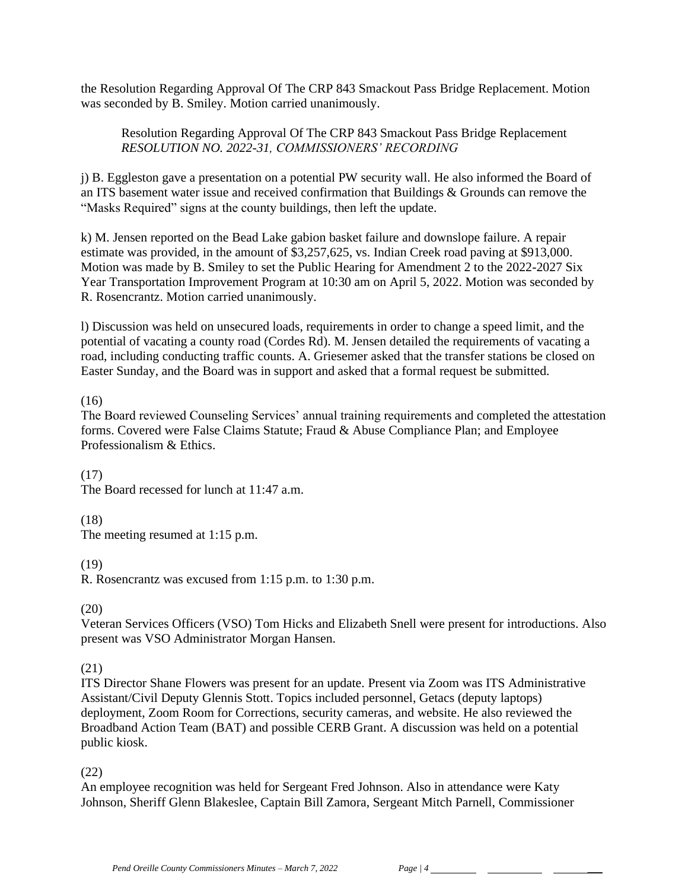the Resolution Regarding Approval Of The CRP 843 Smackout Pass Bridge Replacement. Motion was seconded by B. Smiley. Motion carried unanimously.

Resolution Regarding Approval Of The CRP 843 Smackout Pass Bridge Replacement *RESOLUTION NO. 2022-31, COMMISSIONERS' RECORDING* 

j) B. Eggleston gave a presentation on a potential PW security wall. He also informed the Board of an ITS basement water issue and received confirmation that Buildings & Grounds can remove the "Masks Required" signs at the county buildings, then left the update.

k) M. Jensen reported on the Bead Lake gabion basket failure and downslope failure. A repair estimate was provided, in the amount of \$3,257,625, vs. Indian Creek road paving at \$913,000. Motion was made by B. Smiley to set the Public Hearing for Amendment 2 to the 2022-2027 Six Year Transportation Improvement Program at 10:30 am on April 5, 2022. Motion was seconded by R. Rosencrantz. Motion carried unanimously.

l) Discussion was held on unsecured loads, requirements in order to change a speed limit, and the potential of vacating a county road (Cordes Rd). M. Jensen detailed the requirements of vacating a road, including conducting traffic counts. A. Griesemer asked that the transfer stations be closed on Easter Sunday, and the Board was in support and asked that a formal request be submitted.

### (16)

The Board reviewed Counseling Services' annual training requirements and completed the attestation forms. Covered were False Claims Statute; Fraud & Abuse Compliance Plan; and Employee Professionalism & Ethics.

(17)

The Board recessed for lunch at 11:47 a.m.

## (18)

The meeting resumed at 1:15 p.m.

#### (19)

R. Rosencrantz was excused from 1:15 p.m. to 1:30 p.m.

#### $(20)$

Veteran Services Officers (VSO) Tom Hicks and Elizabeth Snell were present for introductions. Also present was VSO Administrator Morgan Hansen.

## (21)

ITS Director Shane Flowers was present for an update. Present via Zoom was ITS Administrative Assistant/Civil Deputy Glennis Stott. Topics included personnel, Getacs (deputy laptops) deployment, Zoom Room for Corrections, security cameras, and website. He also reviewed the Broadband Action Team (BAT) and possible CERB Grant. A discussion was held on a potential public kiosk.

## (22)

An employee recognition was held for Sergeant Fred Johnson. Also in attendance were Katy Johnson, Sheriff Glenn Blakeslee, Captain Bill Zamora, Sergeant Mitch Parnell, Commissioner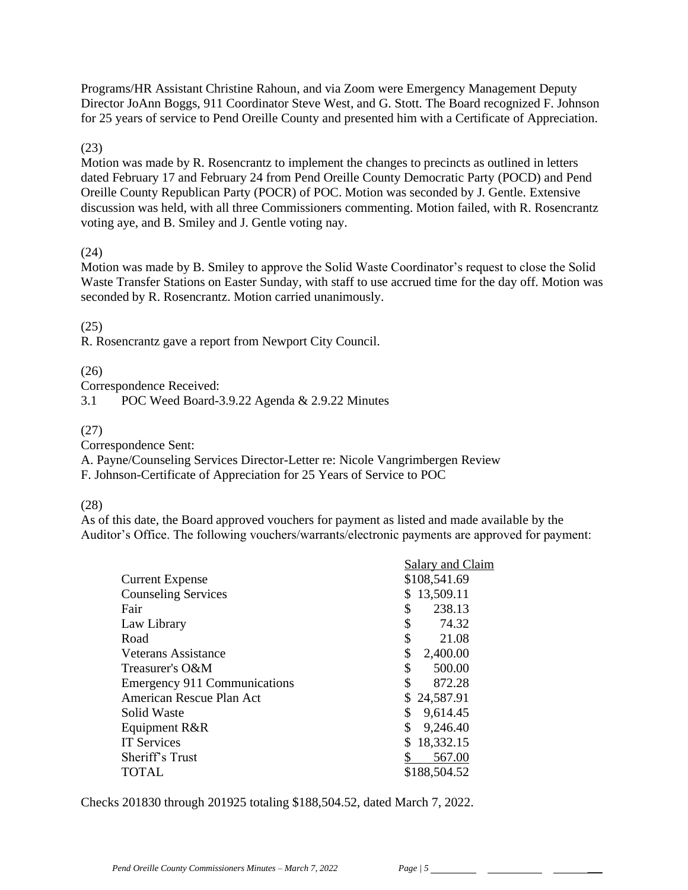Programs/HR Assistant Christine Rahoun, and via Zoom were Emergency Management Deputy Director JoAnn Boggs, 911 Coordinator Steve West, and G. Stott. The Board recognized F. Johnson for 25 years of service to Pend Oreille County and presented him with a Certificate of Appreciation.

(23)

Motion was made by R. Rosencrantz to implement the changes to precincts as outlined in letters dated February 17 and February 24 from Pend Oreille County Democratic Party (POCD) and Pend Oreille County Republican Party (POCR) of POC. Motion was seconded by J. Gentle. Extensive discussion was held, with all three Commissioners commenting. Motion failed, with R. Rosencrantz voting aye, and B. Smiley and J. Gentle voting nay.

### (24)

Motion was made by B. Smiley to approve the Solid Waste Coordinator's request to close the Solid Waste Transfer Stations on Easter Sunday, with staff to use accrued time for the day off. Motion was seconded by R. Rosencrantz. Motion carried unanimously.

### (25)

R. Rosencrantz gave a report from Newport City Council.

## (26)

Correspondence Received:

3.1 POC Weed Board-3.9.22 Agenda & 2.9.22 Minutes

### (27)

Correspondence Sent:

A. Payne/Counseling Services Director-Letter re: Nicole Vangrimbergen Review

F. Johnson-Certificate of Appreciation for 25 Years of Service to POC

#### (28)

As of this date, the Board approved vouchers for payment as listed and made available by the Auditor's Office. The following vouchers/warrants/electronic payments are approved for payment:

|                                     | Salary and Claim |
|-------------------------------------|------------------|
| <b>Current Expense</b>              | \$108,541.69     |
| <b>Counseling Services</b>          | 13,509.11        |
| Fair                                | \$<br>238.13     |
| Law Library                         | \$<br>74.32      |
| Road                                | \$<br>21.08      |
| Veterans Assistance                 | \$<br>2,400.00   |
| Treasurer's O&M                     | \$<br>500.00     |
| <b>Emergency 911 Communications</b> | \$<br>872.28     |
| American Rescue Plan Act            | 24,587.91        |
| Solid Waste                         | \$<br>9,614.45   |
| Equipment R&R                       | \$<br>9,246.40   |
| <b>IT Services</b>                  | 18,332.15        |
| Sheriff's Trust                     | 567.00           |
| <b>TOTAL</b>                        | \$188,504.52     |

Checks 201830 through 201925 totaling \$188,504.52, dated March 7, 2022.